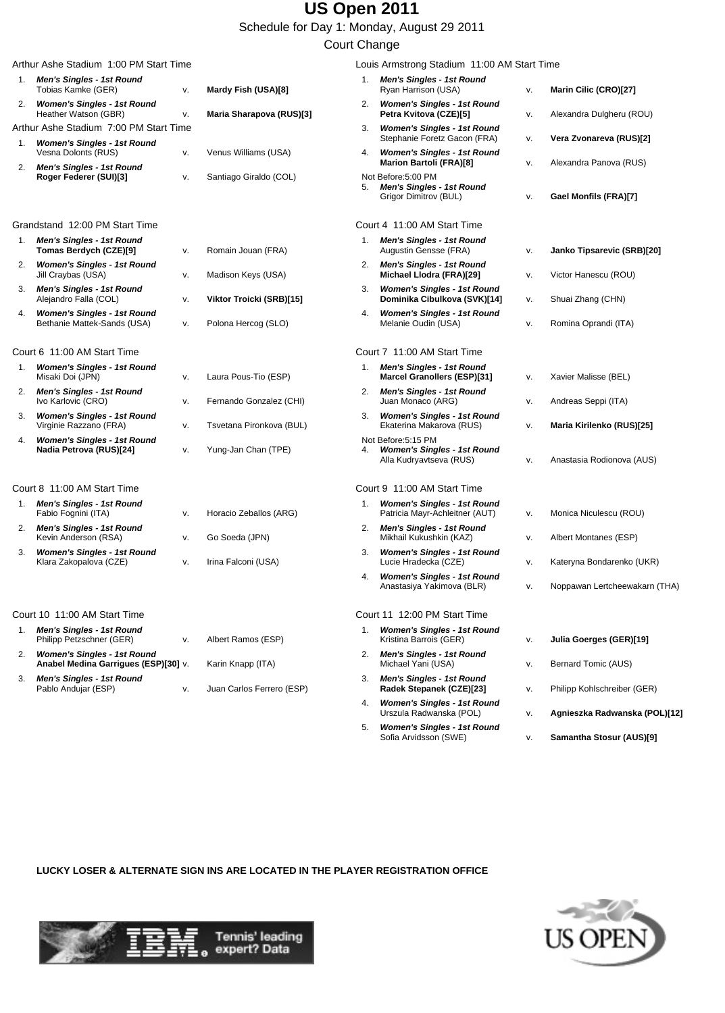Schedule for Day 1: Monday, August 29 2011

#### Court Change

|    | Arthur Ashe Stadium 1:00 PM Start Time                                     |    |                           |    | Louis Armstrong Stadium 11:00 AM Start Time                                                                       |          |                                                 |
|----|----------------------------------------------------------------------------|----|---------------------------|----|-------------------------------------------------------------------------------------------------------------------|----------|-------------------------------------------------|
| 1. | Men's Singles - 1st Round<br>Tobias Kamke (GER)                            | v. | Mardy Fish (USA)[8]       | 1. | <b>Men's Singles - 1st Round</b><br>Ryan Harrison (USA)                                                           | ٧.       | Marin Cilic (CRO)[27]                           |
| 2. | <b>Women's Singles - 1st Round</b><br>Heather Watson (GBR)                 | V. | Maria Sharapova (RUS)[3]  | 2. | <b>Women's Singles - 1st Round</b><br>Petra Kvitova (CZE)[5]                                                      | v.       | Alexandra Dulgheru (ROU)                        |
|    | Arthur Ashe Stadium 7:00 PM Start Time                                     |    |                           | 3. | <b>Women's Singles - 1st Round</b>                                                                                |          |                                                 |
| 1. | <b>Women's Singles - 1st Round</b><br>Vesna Dolonts (RUS)                  | v. | Venus Williams (USA)      | 4. | Stephanie Foretz Gacon (FRA)<br><b>Women's Singles - 1st Round</b>                                                | v.       | Vera Zvonareva (RUS)[2]                         |
| 2. | <b>Men's Singles - 1st Round</b><br>Roger Federer (SUI)[3]                 | v. | Santiago Giraldo (COL)    | 5. | <b>Marion Bartoli (FRA)[8]</b><br>Not Before:5:00 PM<br><b>Men's Singles - 1st Round</b><br>Grigor Dimitrov (BUL) | V.<br>v. | Alexandra Panova (RUS)<br>Gael Monfils (FRA)[7] |
|    | Grandstand 12:00 PM Start Time                                             |    |                           |    | Court 4 11:00 AM Start Time                                                                                       |          |                                                 |
|    | 1. Men's Singles - 1st Round<br>Tomas Berdych (CZE)[9]                     | v. | Romain Jouan (FRA)        |    | 1. Men's Singles - 1st Round<br>Augustin Gensse (FRA)                                                             | v.       | Janko Tipsarevic (SRB)[20]                      |
| 2. | <b>Women's Singles - 1st Round</b><br>Jill Craybas (USA)                   | v. | Madison Keys (USA)        | 2. | <b>Men's Singles - 1st Round</b><br>Michael Llodra (FRA)[29]                                                      | v.       | Victor Hanescu (ROU)                            |
| 3. | <b>Men's Singles - 1st Round</b><br>Alejandro Falla (COL)                  | v. | Viktor Troicki (SRB)[15]  | 3. | <b>Women's Singles - 1st Round</b><br>Dominika Cibulkova (SVK)[14]                                                | v.       | Shuai Zhang (CHN)                               |
| 4. | <b>Women's Singles - 1st Round</b><br>Bethanie Mattek-Sands (USA)          | v. | Polona Hercog (SLO)       | 4. | <b>Women's Singles - 1st Round</b><br>Melanie Oudin (USA)                                                         | V.       | Romina Oprandi (ITA)                            |
|    | Court 6 11:00 AM Start Time                                                |    |                           |    | Court 7 11:00 AM Start Time                                                                                       |          |                                                 |
| 1. | <b>Women's Singles - 1st Round</b><br>Misaki Doi (JPN)                     | v. | Laura Pous-Tio (ESP)      | 1. | <b>Men's Singles - 1st Round</b><br><b>Marcel Granollers (ESP)[31]</b>                                            | v.       | Xavier Malisse (BEL)                            |
| 2. | <b>Men's Singles - 1st Round</b><br>Ivo Karlovic (CRO)                     | v. | Fernando Gonzalez (CHI)   | 2. | <b>Men's Singles - 1st Round</b><br>Juan Monaco (ARG)                                                             | v.       | Andreas Seppi (ITA)                             |
| 3. | <b>Women's Singles - 1st Round</b><br>Virginie Razzano (FRA)               | v. | Tsvetana Pironkova (BUL)  | 3. | <b>Women's Singles - 1st Round</b><br>Ekaterina Makarova (RUS)                                                    | ٧.       | Maria Kirilenko (RUS)[25]                       |
| 4. | <b>Women's Singles - 1st Round</b><br>Nadia Petrova (RUS)[24]              | v. | Yung-Jan Chan (TPE)       |    | Not Before:5:15 PM<br><b>Women's Singles - 1st Round</b><br>Alla Kudryavtseva (RUS)                               | v.       | Anastasia Rodionova (AUS)                       |
|    | Court 8 11:00 AM Start Time                                                |    |                           |    | Court 9 11:00 AM Start Time                                                                                       |          |                                                 |
| 1. | <b>Men's Singles - 1st Round</b><br>Fabio Fognini (ITA)                    | v. | Horacio Zeballos (ARG)    |    | <b>Women's Singles - 1st Round</b><br>Patricia Mayr-Achleitner (AUT)                                              | v.       | Monica Niculescu (ROU)                          |
| 2. | <b>Men's Singles - 1st Round</b><br>Kevin Anderson (RSA)                   | ν. | Go Soeda (JPN)            | 2. | <b>Men's Singles - 1st Round</b><br>Mikhail Kukushkin (KAZ)                                                       | ٧.       | Albert Montanes (ESP)                           |
| 3. | <b>Women's Singles - 1st Round</b><br>Klara Zakopalova (CZE)               | v. | Irina Falconi (USA)       | 3. | <b>Women's Singles - 1st Round</b><br>Lucie Hradecka (CZE)                                                        | v.       | Kateryna Bondarenko (UKR)                       |
|    |                                                                            |    |                           | 4. | <b>Women's Singles - 1st Round</b><br>Anastasiya Yakimova (BLR)                                                   | v.       | Noppawan Lertcheewakarn (THA)                   |
|    | Court 10 11:00 AM Start Time                                               |    |                           |    | Court 11 12:00 PM Start Time                                                                                      |          |                                                 |
| 1. | <b>Men's Singles - 1st Round</b><br>Philipp Petzschner (GER)               | ٧. | Albert Ramos (ESP)        | 1. | <b>Women's Singles - 1st Round</b><br>Kristina Barrois (GER)                                                      | ٧.       | Julia Goerges (GER)[19]                         |
| 2. | <b>Women's Singles - 1st Round</b><br>Anabel Medina Garrigues (ESP)[30] v. |    | Karin Knapp (ITA)         | 2. | <b>Men's Singles - 1st Round</b><br>Michael Yani (USA)                                                            | v.       | Bernard Tomic (AUS)                             |
| 3. | <b>Men's Singles - 1st Round</b><br>Pablo Andujar (ESP)                    | v. | Juan Carlos Ferrero (ESP) |    | 3. Men's Singles - 1st Round<br>Radek Stepanek (CZE)[23]                                                          | v.       | Philipp Kohlschreiber (GER)                     |
|    |                                                                            |    |                           | 4. | <b>Women's Singles - 1st Round</b><br>Urszula Radwanska (POL)                                                     | V.       | Agnieszka Radwanska (POL)[12]                   |
|    |                                                                            |    |                           | 5. | <b>Women's Singles - 1st Round</b><br>Sofia Arvidsson (SWE)                                                       | V.       | Samantha Stosur (AUS)[9]                        |

**LUCKY LOSER & ALTERNATE SIGN INS ARE LOCATED IN THE PLAYER REGISTRATION OFFICE**



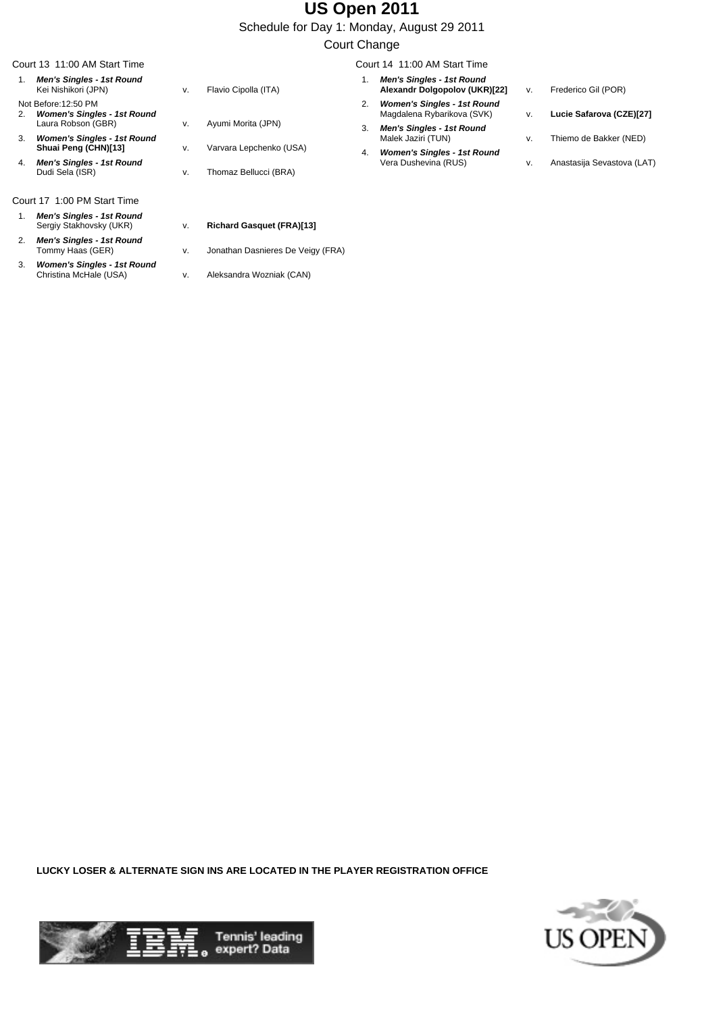Schedule for Day 1: Monday, August 29 2011

#### Court Change

|    | Court 13 11:00 AM Start Time                               |    |                         |    | Court 14 11:00 AM Start Time                                      |    |                            |
|----|------------------------------------------------------------|----|-------------------------|----|-------------------------------------------------------------------|----|----------------------------|
|    | Men's Singles - 1st Round<br>Kei Nishikori (JPN)           | v. | Flavio Cipolla (ITA)    |    | <b>Men's Singles - 1st Round</b><br>Alexandr Dolgopolov (UKR)[22] | v. | Frederico Gil (POR)        |
| 2. | Not Before: 12:50 PM<br><b>Women's Singles - 1st Round</b> |    |                         |    | <b>Women's Singles - 1st Round</b><br>Magdalena Rybarikova (SVK)  | V. | Lucie Safarova (CZE)[27]   |
| 3. | Laura Robson (GBR)<br><b>Women's Singles - 1st Round</b>   | v. | Ayumi Morita (JPN)      | 3. | <b>Men's Singles - 1st Round</b><br>Malek Jaziri (TUN)            | v. | Thiemo de Bakker (NED)     |
| 4. | Shuai Peng (CHN)[13]<br><b>Men's Singles - 1st Round</b>   | v. | Varvara Lepchenko (USA) | 4. | <b>Women's Singles - 1st Round</b><br>Vera Dushevina (RUS)        | V. | Anastasija Sevastova (LAT) |
|    | Dudi Sela (ISR)                                            | v. | Thomaz Bellucci (BRA)   |    |                                                                   |    |                            |
|    |                                                            |    |                         |    |                                                                   |    |                            |

- Court 17 1:00 PM Start Time
- 1. **Men's Singles 1st Round**
- 2. **Men's Singles 1st Round**
- 3. **Women's Singles 1st Round**
- v. Jonathan Dasnieres De Veigy (FRA)
- v. Aleksandra Wozniak (CAN)

v. **Richard Gasquet (FRA)[13]** 

**LUCKY LOSER & ALTERNATE SIGN INS ARE LOCATED IN THE PLAYER REGISTRATION OFFICE**



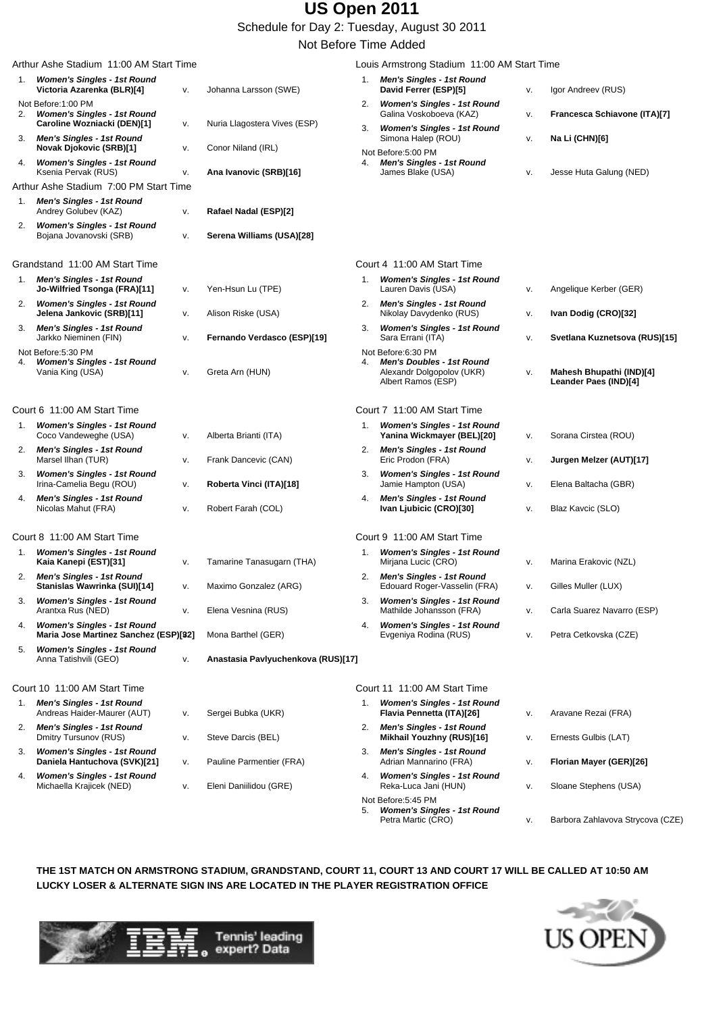Schedule for Day 2: Tuesday, August 30 2011

Not Before Time Added

| Arthur Ashe Stadium 11:00 AM Start Time |                                                                              |    |                                    |    | Louis Armstrong Stadium 11:00 AM Start Time                                                               |    |                                                   |  |  |  |
|-----------------------------------------|------------------------------------------------------------------------------|----|------------------------------------|----|-----------------------------------------------------------------------------------------------------------|----|---------------------------------------------------|--|--|--|
| 1.                                      | <b>Women's Singles - 1st Round</b><br>Victoria Azarenka (BLR)[4]             | v. | Johanna Larsson (SWE)              |    | 1. Men's Singles - 1st Round<br>David Ferrer (ESP)[5]                                                     | ۷. | Igor Andreev (RUS)                                |  |  |  |
| 2.                                      | Not Before:1:00 PM<br><b>Women's Singles - 1st Round</b>                     |    |                                    | 2. | <b>Women's Singles - 1st Round</b><br>Galina Voskoboeva (KAZ)                                             | ٧. | Francesca Schiavone (ITA)[7]                      |  |  |  |
| 3.                                      | Caroline Wozniacki (DEN)[1]<br><b>Men's Singles - 1st Round</b>              | v. | Nuria Llagostera Vives (ESP)       | 3. | <b>Women's Singles - 1st Round</b><br>Simona Halep (ROU)                                                  | ٧. | Na Li (CHN)[6]                                    |  |  |  |
| 4.                                      | <b>Novak Djokovic (SRB)[1]</b><br><b>Women's Singles - 1st Round</b>         | v. | Conor Niland (IRL)                 | 4. | Not Before:5:00 PM<br><b>Men's Singles - 1st Round</b>                                                    |    |                                                   |  |  |  |
|                                         | Ksenia Pervak (RUS)                                                          | V. | Ana Ivanovic (SRB)[16]             |    | James Blake (USA)                                                                                         | ٧. | Jesse Huta Galung (NED)                           |  |  |  |
|                                         | Arthur Ashe Stadium 7:00 PM Start Time                                       |    |                                    |    |                                                                                                           |    |                                                   |  |  |  |
| 1.                                      | <b>Men's Singles - 1st Round</b><br>Andrey Golubev (KAZ)                     | ν. | Rafael Nadal (ESP)[2]              |    |                                                                                                           |    |                                                   |  |  |  |
| 2.                                      | <b>Women's Singles - 1st Round</b><br>Bojana Jovanovski (SRB)                | v. | Serena Williams (USA)[28]          |    |                                                                                                           |    |                                                   |  |  |  |
|                                         | Grandstand 11:00 AM Start Time                                               |    |                                    |    | Court 4 11:00 AM Start Time                                                                               |    |                                                   |  |  |  |
| 1.                                      | <b>Men's Singles - 1st Round</b><br>Jo-Wilfried Tsonga (FRA)[11]             | v. | Yen-Hsun Lu (TPE)                  | 1. | <b>Women's Singles - 1st Round</b><br>Lauren Davis (USA)                                                  | ۷. | Angelique Kerber (GER)                            |  |  |  |
| 2.                                      | <b>Women's Singles - 1st Round</b><br>Jelena Jankovic (SRB)[11]              | v. | Alison Riske (USA)                 | 2. | <b>Men's Singles - 1st Round</b><br>Nikolay Davydenko (RUS)                                               | ٧. | Ivan Dodig (CRO)[32]                              |  |  |  |
| 3.                                      | <b>Men's Singles - 1st Round</b><br>Jarkko Nieminen (FIN)                    | v. | Fernando Verdasco (ESP)[19]        | 3. | <b>Women's Singles - 1st Round</b><br>Sara Errani (ITA)                                                   | V. | Svetlana Kuznetsova (RUS)[15]                     |  |  |  |
| 4.                                      | Not Before:5:30 PM<br><b>Women's Singles - 1st Round</b><br>Vania King (USA) | v. | Greta Arn (HUN)                    | 4. | Not Before:6:30 PM<br><b>Men's Doubles - 1st Round</b><br>Alexandr Dolgopolov (UKR)<br>Albert Ramos (ESP) | ٧. | Mahesh Bhupathi (IND)[4]<br>Leander Paes (IND)[4] |  |  |  |
|                                         | Court 6 11:00 AM Start Time                                                  |    |                                    |    | Court 7 11:00 AM Start Time                                                                               |    |                                                   |  |  |  |
| 1.                                      | <b>Women's Singles - 1st Round</b><br>Coco Vandeweghe (USA)                  | v. | Alberta Brianti (ITA)              | 1. | <b>Women's Singles - 1st Round</b><br>Yanina Wickmayer (BEL)[20]                                          | ٧. | Sorana Cirstea (ROU)                              |  |  |  |
| 2.                                      | Men's Singles - 1st Round<br>Marsel Ilhan (TUR)                              | v. | Frank Dancevic (CAN)               | 2. | <b>Men's Singles - 1st Round</b><br>Eric Prodon (FRA)                                                     | ٧. | Jurgen Melzer (AUT)[17]                           |  |  |  |
| З.                                      | <b>Women's Singles - 1st Round</b><br>Irina-Camelia Begu (ROU)               | v. | Roberta Vinci (ITA)[18]            | 3. | <b>Women's Singles - 1st Round</b><br>Jamie Hampton (USA)                                                 | ۷. | Elena Baltacha (GBR)                              |  |  |  |
| 4.                                      | <b>Men's Singles - 1st Round</b><br>Nicolas Mahut (FRA)                      | v. | Robert Farah (COL)                 | 4. | <b>Men's Singles - 1st Round</b><br>Ivan Ljubicic (CRO)[30]                                               | ٧. | Blaz Kavcic (SLO)                                 |  |  |  |
|                                         | Court 8 11:00 AM Start Time                                                  |    |                                    |    | Court 9 11:00 AM Start Time                                                                               |    |                                                   |  |  |  |
| 1.                                      | <b>Women's Singles - 1st Round</b><br>Kaia Kanepi (EST)[31]                  | v. | Tamarine Tanasugarn (THA)          | 1. | <b>Women's Singles - 1st Round</b><br>Mirjana Lucic (CRO)                                                 | v. | Marina Erakovic (NZL)                             |  |  |  |
| 2.                                      | <b>Men's Singles - 1st Round</b><br>Stanislas Wawrinka (SUI)[14]             | v. | Maximo Gonzalez (ARG)              | 2. | <b>Men's Singles - 1st Round</b><br>Edouard Roger-Vasselin (FRA)                                          | v. | Gilles Muller (LUX)                               |  |  |  |
| 3.                                      | <b>Women's Singles - 1st Round</b><br>Arantxa Rus (NED)                      | v. | Elena Vesnina (RUS)                | 3. | <b>Women's Singles - 1st Round</b><br>Mathilde Johansson (FRA)                                            | ٧. | Carla Suarez Navarro (ESP)                        |  |  |  |
| 4.                                      | <b>Women's Singles - 1st Round</b><br>Maria Jose Martinez Sanchez (ESP)[32]  |    | Mona Barthel (GER)                 | 4. | <b>Women's Singles - 1st Round</b><br>Evgeniya Rodina (RUS)                                               | ٧. | Petra Cetkovska (CZE)                             |  |  |  |
| 5.                                      | <b>Women's Singles - 1st Round</b><br>Anna Tatishvili (GEO)                  | v. | Anastasia Pavlyuchenkova (RUS)[17] |    |                                                                                                           |    |                                                   |  |  |  |
|                                         | Court 10 11:00 AM Start Time                                                 |    |                                    |    | Court 11 11:00 AM Start Time                                                                              |    |                                                   |  |  |  |
| 1.                                      | <b>Men's Singles - 1st Round</b><br>Andreas Haider-Maurer (AUT)              | ν. | Sergei Bubka (UKR)                 | 1. | <b>Women's Singles - 1st Round</b><br>Flavia Pennetta (ITA)[26]                                           | ۷. | Aravane Rezai (FRA)                               |  |  |  |
| 2.                                      | <b>Men's Singles - 1st Round</b><br>Dmitry Tursunov (RUS)                    | v. | Steve Darcis (BEL)                 | 2. | <b>Men's Singles - 1st Round</b><br>Mikhail Youzhny (RUS)[16]                                             | ٧. | Ernests Gulbis (LAT)                              |  |  |  |
| 3.                                      | <b>Women's Singles - 1st Round</b><br>Daniela Hantuchova (SVK)[21]           | v. | Pauline Parmentier (FRA)           | 3. | <b>Men's Singles - 1st Round</b><br>Adrian Mannarino (FRA)                                                | ۷. | Florian Mayer (GER)[26]                           |  |  |  |
| 4.                                      | <b>Women's Singles - 1st Round</b><br>Michaella Krajicek (NED)               | v. | Eleni Daniilidou (GRE)             | 4. | <b>Women's Singles - 1st Round</b><br>Reka-Luca Jani (HUN)                                                | ٧. | Sloane Stephens (USA)                             |  |  |  |
|                                         |                                                                              |    |                                    | 5. | Not Before:5:45 PM<br><b>Women's Singles - 1st Round</b><br>Petra Martic (CRO)                            | v. | Barbora Zahlavova Strycova (CZE)                  |  |  |  |

**THE 1ST MATCH ON ARMSTRONG STADIUM, GRANDSTAND, COURT 11, COURT 13 AND COURT 17 WILL BE CALLED AT 10:50 AM LUCKY LOSER & ALTERNATE SIGN INS ARE LOCATED IN THE PLAYER REGISTRATION OFFICE**



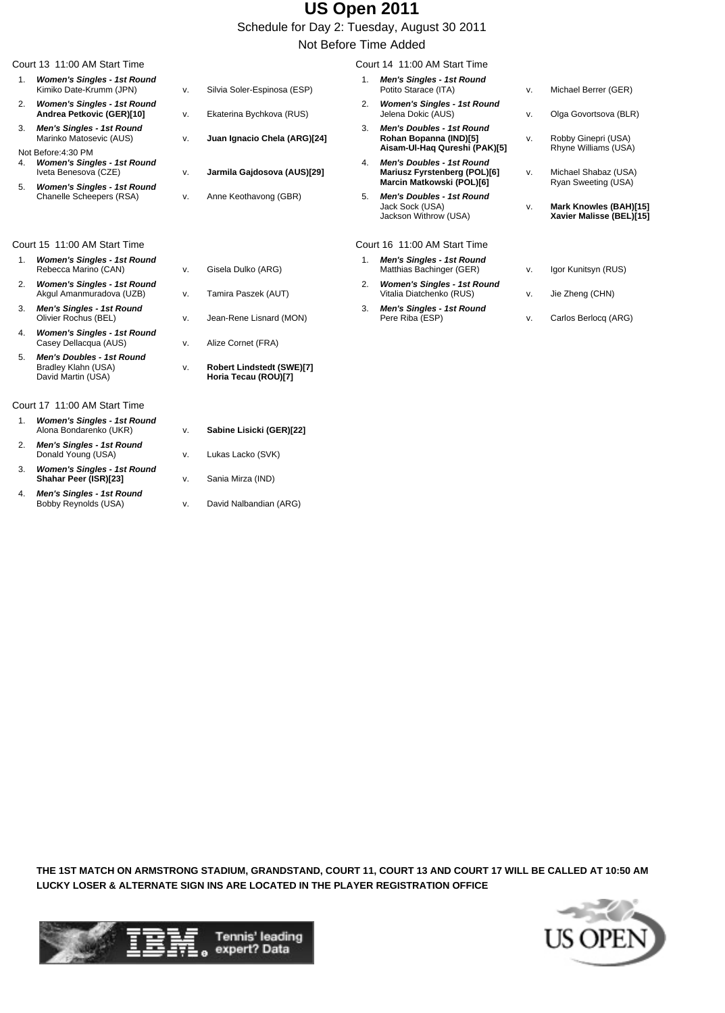Schedule for Day 2: Tuesday, August 30 2011 Not Before Time Added

|    | Court 13 11:00 AM Start Time                                                  |    |                                                   |                | Court 14 11:00 AM Start Time                                                                  |    |                                                    |
|----|-------------------------------------------------------------------------------|----|---------------------------------------------------|----------------|-----------------------------------------------------------------------------------------------|----|----------------------------------------------------|
| 1. | <b>Women's Singles - 1st Round</b><br>Kimiko Date-Krumm (JPN)                 | v. | Silvia Soler-Espinosa (ESP)                       | 1 <sub>1</sub> | <b>Men's Singles - 1st Round</b><br>Potito Starace (ITA)                                      | v. | Michael Berrer (GER)                               |
| 2. | <b>Women's Singles - 1st Round</b><br>Andrea Petkovic (GER)[10]               | v. | Ekaterina Bychkova (RUS)                          | 2.             | <b>Women's Singles - 1st Round</b><br>Jelena Dokic (AUS)                                      | v. | Olga Govortsova (BLR)                              |
| 3. | <b>Men's Singles - 1st Round</b><br>Marinko Matosevic (AUS)                   | v. | Juan Ignacio Chela (ARG)[24]                      | 3.             | <b>Men's Doubles - 1st Round</b><br>Rohan Bopanna (IND)[5]                                    | v. | Robby Ginepri (USA)                                |
|    | Not Before: 4:30 PM                                                           |    |                                                   |                | Aisam-Ul-Hag Qureshi (PAK)[5]                                                                 |    | Rhyne Williams (USA)                               |
| 4. | <b>Women's Singles - 1st Round</b><br>Iveta Benesova (CZE)                    | v. | Jarmila Gajdosova (AUS)[29]                       | 4.             | <b>Men's Doubles - 1st Round</b><br>Mariusz Fyrstenberg (POL)[6]<br>Marcin Matkowski (POL)[6] | v. | Michael Shabaz (USA)<br>Ryan Sweeting (USA)        |
| 5. | <b>Women's Singles - 1st Round</b>                                            |    |                                                   |                |                                                                                               |    |                                                    |
|    | Chanelle Scheepers (RSA)                                                      | V. | Anne Keothavong (GBR)                             | 5.             | <b>Men's Doubles - 1st Round</b><br>Jack Sock (USA)<br>Jackson Withrow (USA)                  | v. | Mark Knowles (BAH)[15]<br>Xavier Malisse (BEL)[15] |
|    | Court 15 11:00 AM Start Time                                                  |    |                                                   |                | Court 16 11:00 AM Start Time                                                                  |    |                                                    |
| 1. | <b>Women's Singles - 1st Round</b><br>Rebecca Marino (CAN)                    | v. | Gisela Dulko (ARG)                                | 1 <sub>1</sub> | Men's Singles - 1st Round<br>Matthias Bachinger (GER)                                         | v. | Igor Kunitsyn (RUS)                                |
| 2. | <b>Women's Singles - 1st Round</b><br>Akgul Amanmuradova (UZB)                | v. | Tamira Paszek (AUT)                               | 2.             | <b>Women's Singles - 1st Round</b><br>Vitalia Diatchenko (RUS)                                | ۷. | Jie Zheng (CHN)                                    |
| 3. | <b>Men's Singles - 1st Round</b><br>Olivier Rochus (BEL)                      | v. | Jean-Rene Lisnard (MON)                           | 3.             | <b>Men's Singles - 1st Round</b><br>Pere Riba (ESP)                                           | v. | Carlos Berlocq (ARG)                               |
| 4. | <b>Women's Singles - 1st Round</b><br>Casey Dellacqua (AUS)                   | v. | Alize Cornet (FRA)                                |                |                                                                                               |    |                                                    |
| 5. | <b>Men's Doubles - 1st Round</b><br>Bradley Klahn (USA)<br>David Martin (USA) | v. | Robert Lindstedt (SWE)[7]<br>Horia Tecau (ROU)[7] |                |                                                                                               |    |                                                    |

Court 17 11:00 AM Start Time

- 1. **Women's Singles 1st Round**
- 2. **Men's Singles 1st Round** Donald Young (USA) v. Lukas Lacko (SVK)
- 3. **Women's Singles 1st Round Shahar Peer (ISR)[23]** v. Sania Mirza (IND)
- 4. **Men's Singles 1st Round**
- v. **Robert Lindstedt (SWE)[7] Horia Tecau (ROU)[7]**
- v. **Sabine Lisicki (GER)[22]** 
	-
- 
- v. David Nalbandian (ARG)

**THE 1ST MATCH ON ARMSTRONG STADIUM, GRANDSTAND, COURT 11, COURT 13 AND COURT 17 WILL BE CALLED AT 10:50 AM LUCKY LOSER & ALTERNATE SIGN INS ARE LOCATED IN THE PLAYER REGISTRATION OFFICE**



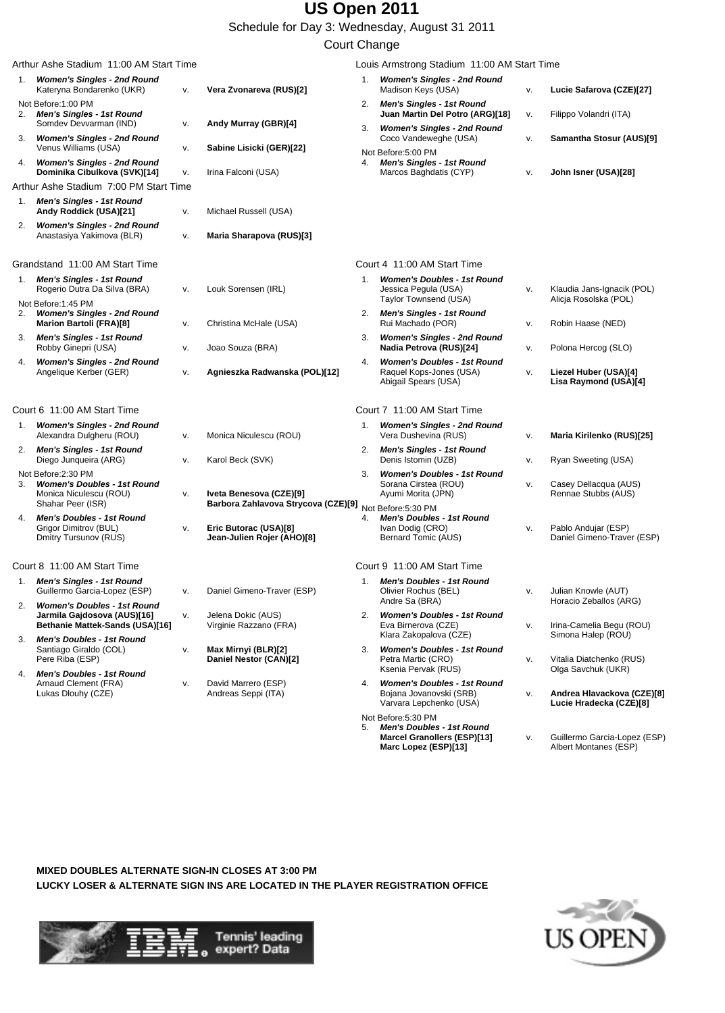Schedule for Day 3: Wednesday, August 31 2011

#### Court Change

|    | Arthur Ashe Stadium 11:00 AM Start Time                                                                  |          |                                                                |    | Louis Armstrong Stadium 11:00 AM Start Time                                                                     |    |                                                                             |
|----|----------------------------------------------------------------------------------------------------------|----------|----------------------------------------------------------------|----|-----------------------------------------------------------------------------------------------------------------|----|-----------------------------------------------------------------------------|
| 1. | <b>Women's Singles - 2nd Round</b><br>Kateryna Bondarenko (UKR)                                          | v.       | Vera Zvonareva (RUS)[2]                                        | 1. | <b>Women's Singles - 2nd Round</b><br>Madison Keys (USA)                                                        | V. | Lucie Safarova (CZE)[27]                                                    |
|    | Not Before: 1:00 PM<br>2. Men's Singles - 1st Round                                                      |          |                                                                | 2. | <b>Men's Singles - 1st Round</b><br>Juan Martin Del Potro (ARG)[18]                                             | v. | Filippo Volandri (ITA)                                                      |
| 3. | Somdev Devvarman (IND)<br><b>Women's Singles - 2nd Round</b><br>Venus Williams (USA)                     | V.       | Andy Murray (GBR)[4]<br>Sabine Lisicki (GER)[22]               | 3. | <b>Women's Singles - 2nd Round</b><br>Coco Vandeweghe (USA)                                                     | v. | Samantha Stosur (AUS)[9]                                                    |
| 4. | <b>Women's Singles - 2nd Round</b><br>Dominika Cibulkova (SVK)[14]                                       | V.<br>v. | Irina Falconi (USA)                                            |    | Not Before:5:00 PM<br>4. Men's Singles - 1st Round<br>Marcos Baghdatis (CYP)                                    | V. | John Isner (USA)[28]                                                        |
|    | Arthur Ashe Stadium 7:00 PM Start Time                                                                   |          |                                                                |    |                                                                                                                 |    |                                                                             |
| 1. | Men's Singles - 1st Round<br>Andy Roddick (USA)[21]                                                      | V.       | Michael Russell (USA)                                          |    |                                                                                                                 |    |                                                                             |
| 2. | <b>Women's Singles - 2nd Round</b><br>Anastasiya Yakimova (BLR)                                          | v.       | Maria Sharapova (RUS)[3]                                       |    |                                                                                                                 |    |                                                                             |
|    | Grandstand 11:00 AM Start Time                                                                           |          |                                                                |    | Court 4 11:00 AM Start Time                                                                                     |    |                                                                             |
|    | 1. Men's Singles - 1st Round<br>Rogerio Dutra Da Silva (BRA)                                             | V.       | Louk Sorensen (IRL)                                            | 1. | <b>Women's Doubles - 1st Round</b><br>Jessica Pegula (USA)<br>Taylor Townsend (USA)                             | v. | Klaudia Jans-Ignacik (POL)<br>Alicja Rosolska (POL)                         |
| 2. | Not Before:1:45 PM<br><b>Women's Singles - 2nd Round</b><br>Marion Bartoli (FRA)[8]                      | v.       | Christina McHale (USA)                                         | 2. | <b>Men's Singles - 1st Round</b><br>Rui Machado (POR)                                                           | v. | Robin Haase (NED)                                                           |
| 3. | Men's Singles - 1st Round<br>Robby Ginepri (USA)                                                         | V.       | Joao Souza (BRA)                                               | 3. | <b>Women's Singles - 2nd Round</b><br>Nadia Petrova (RUS)[24]                                                   | v. | Polona Hercog (SLO)                                                         |
| 4. | <b>Women's Singles - 2nd Round</b><br>Angelique Kerber (GER)                                             | V.       | Agnieszka Radwanska (POL)[12]                                  | 4. | <b>Women's Doubles - 1st Round</b><br>Raquel Kops-Jones (USA)<br>Abigail Spears (USA)                           | v. | Liezel Huber (USA)[4]<br>Lisa Raymond (USA)[4]                              |
|    | Court 6 11:00 AM Start Time                                                                              |          |                                                                |    | Court 7 11:00 AM Start Time                                                                                     |    |                                                                             |
| 1. | <b>Women's Singles - 2nd Round</b><br>Alexandra Dulgheru (ROU)                                           | v.       | Monica Niculescu (ROU)                                         | 1. | <b>Women's Singles - 2nd Round</b><br>Vera Dushevina (RUS)                                                      | v. | Maria Kirilenko (RUS)[25]                                                   |
| 2. | <b>Men's Singles - 1st Round</b><br>Diego Junqueira (ARG)                                                | v.       | Karol Beck (SVK)                                               | 2. | <b>Men's Singles - 1st Round</b><br>Denis Istomin (UZB)                                                         | v. | Ryan Sweeting (USA)                                                         |
| 3. | Not Before: 2:30 PM<br><b>Women's Doubles - 1st Round</b><br>Monica Niculescu (ROU)<br>Shahar Peer (ISR) | v.       | Iveta Benesova (CZE)[9]<br>Barbora Zahlavova Strycova (CZE)[9] | 3. | <b>Women's Doubles - 1st Round</b><br>Sorana Cirstea (ROU)<br>Ayumi Morita (JPN)<br>Not Before:5:30 PM          | v. | Casey Dellacqua (AUS)<br>Rennae Stubbs (AUS)                                |
| 4. | <b>Men's Doubles - 1st Round</b><br>Grigor Dimitrov (BUL)<br>Dmitry Tursunov (RUS)                       | v.       | Eric Butorac (USA)[8]<br>Jean-Julien Rojer (AHO)[8]            | 4. | <b>Men's Doubles - 1st Round</b><br>Ivan Dodig (CRO)<br>Bernard Tomic (AUS)                                     | v. | Pablo Andujar (ESP)<br>Daniel Gimeno-Traver (ESP)                           |
|    | Court 8 11:00 AM Start Time                                                                              |          |                                                                |    | Court 9 11:00 AM Start Time                                                                                     |    |                                                                             |
| 1. | <b>Men's Singles - 1st Round</b><br>Guillermo Garcia-Lopez (ESP)                                         | v.       | Daniel Gimeno-Traver (ESP)                                     | 1. | <b>Men's Doubles - 1st Round</b><br>Olivier Rochus (BEL)                                                        | v. | Julian Knowle (AUT)                                                         |
|    | <b>Women's Doubles - 1st Round</b><br>Jarmila Gajdosova (AUS)[16]<br>Bethanie Mattek-Sands (USA)[16]     | v.       | Jelena Dokic (AUS)<br>Virginie Razzano (FRA)                   | 2. | Andre Sa (BRA)<br><b>Women's Doubles - 1st Round</b><br>Eva Birnerova (CZE)                                     | v. | Horacio Zeballos (ARG)<br>Irina-Camelia Begu (ROU)                          |
|    | 3. Men's Doubles - 1st Round<br>Santiago Giraldo (COL)<br>Pere Riba (ESP)                                | v.       | Max Mirnyi (BLR)[2]<br>Daniel Nestor (CAN)[2]                  | 3. | Klara Zakopalova (CZE)<br><b>Women's Doubles - 1st Round</b><br>Petra Martic (CRO)                              | v. | Simona Halep (ROU)<br>Vitalia Diatchenko (RUS)                              |
| 4. | Men's Doubles - 1st Round<br>Arnaud Clement (FRA)<br>Lukas Dlouhy (CZE)                                  | V.       | David Marrero (ESP)<br>Andreas Seppi (ITA)                     | 4. | Ksenia Pervak (RUS)<br><b>Women's Doubles - 1st Round</b><br>Bojana Jovanovski (SRB)<br>Varvara Lepchenko (USA) | v. | Olga Savchuk (UKR)<br>Andrea Hlavackova (CZE)[8]<br>Lucie Hradecka (CZE)[8] |
|    |                                                                                                          |          |                                                                | 5. | Not Before:5:30 PM<br><b>Men's Doubles - 1st Round</b><br>Marcel Granollers (ESP)[13]<br>Marc Lopez (ESP)[13]   | v. | Guillermo Garcia-Lopez (ESP)<br>Albert Montanes (ESP)                       |

**MIXED DOUBLES ALTERNATE SIGN-IN CLOSES AT 3:00 PM LUCKY LOSER & ALTERNATE SIGN INS ARE LOCATED IN THE PLAYER REGISTRATION OFFICE**